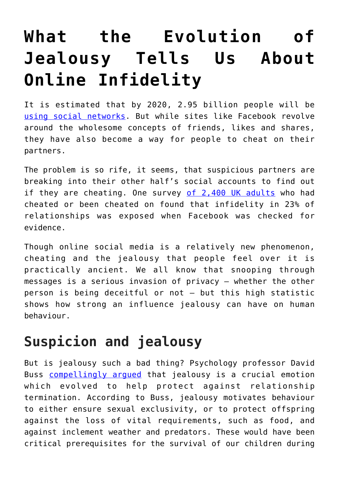## **[What the Evolution of](https://intellectualtakeout.org/2018/02/what-the-evolution-of-jealousy-tells-us-about-online-infidelity/) [Jealousy Tells Us About](https://intellectualtakeout.org/2018/02/what-the-evolution-of-jealousy-tells-us-about-online-infidelity/) [Online Infidelity](https://intellectualtakeout.org/2018/02/what-the-evolution-of-jealousy-tells-us-about-online-infidelity/)**

It is estimated that by 2020, 2.95 billion people will be [using social networks.](https://www.statista.com/statistics/278414/number-of-worldwide-social-network-users/) But while sites like Facebook revolve around the wholesome concepts of friends, likes and shares, they have also become a way for people to cheat on their partners.

The problem is so rife, it seems, that suspicious partners are breaking into their other half's social accounts to find out if they are cheating. One survey [of 2,400 UK adults](http://www.dailymail.co.uk/femail/article-2268169/Dial-I-infidelity-Checkingpartners-mobile-phone-common-way-affairs-exposed.html) who had cheated or been cheated on found that infidelity in 23% of relationships was exposed when Facebook was checked for evidence.

Though online social media is a relatively new phenomenon, cheating and the jealousy that people feel over it is practically ancient. We all know that snooping through messages is a serious invasion of privacy – whether the other person is being deceitful or not – but this high statistic shows how strong an influence jealousy can have on human behaviour.

## **Suspicion and jealousy**

But is jealousy such a bad thing? Psychology professor David Buss [compellingly argued](http://www.nytimes.com/books/first/b/buss-passion.html) that jealousy is a crucial emotion which evolved to help protect against relationship termination. According to Buss, jealousy motivates behaviour to either ensure sexual exclusivity, or to protect offspring against the loss of vital requirements, such as food, and against inclement weather and predators. These would have been critical prerequisites for the survival of our children during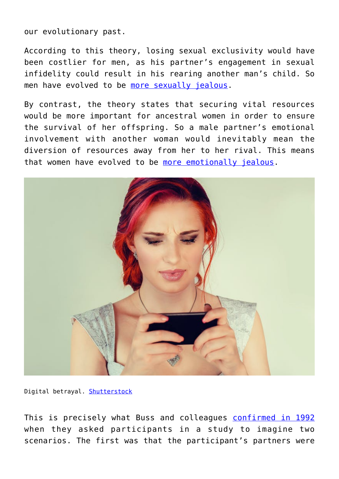our evolutionary past.

According to this theory, losing sexual exclusivity would have been costlier for men, as his partner's engagement in sexual infidelity could result in his rearing another man's child. So men have evolved to be [more sexually jealous](http://journals.sagepub.com/doi/abs/10.1111/j.1467-9280.1992.tb00038.x).

By contrast, the theory states that securing vital resources would be more important for ancestral women in order to ensure the survival of her offspring. So a male partner's emotional involvement with another woman would inevitably mean the diversion of resources away from her to her rival. This means that women have evolved to be [more emotionally jealous](https://www.psychologytoday.com/blog/homo-consumericus/200906/men-and-women-experience-sexual-and-emotional-infidelity-differently).



Digital betrayal. [Shutterstock](https://www.shutterstock.com/image-photo/sad-woman-texting-closeup-portrait-upset-349497446?src=La3KQZ_2wRGHA8cviZmd1w-1-72)

This is precisely what Buss and colleagues [confirmed in 1992](http://courses.washington.edu/evpsych/SexDifferencesinJealousy.pdf) when they asked participants in a study to imagine two scenarios. The first was that the participant's partners were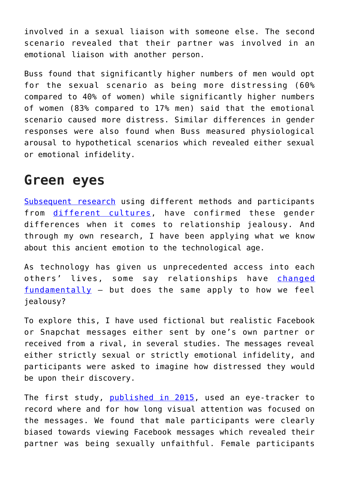involved in a sexual liaison with someone else. The second scenario revealed that their partner was involved in an emotional liaison with another person.

Buss found that significantly higher numbers of men would opt for the sexual scenario as being more distressing (60% compared to 40% of women) while significantly higher numbers of women (83% compared to 17% men) said that the emotional scenario caused more distress. Similar differences in gender responses were also found when Buss measured physiological arousal to hypothetical scenarios which revealed either sexual or emotional infidelity.

## **Green eyes**

[Subsequent research](https://repository.cardiffmet.ac.uk/handle/10369/8979) using different methods and participants from [different cultures,](https://www.sciencedirect.com/science/article/pii/S0191886914004802) have confirmed these gender differences when it comes to relationship jealousy. And through my own research, I have been applying what we know about this ancient emotion to the technological age.

As technology has given us unprecedented access into each others' lives, some say relationships have [changed](https://theconversation.com/how-facebook-could-be-threatening-your-romantic-relationship-60391)  $fundamentaly - but does the same apply to how we feel$ jealousy?

To explore this, I have used fictional but realistic Facebook or Snapchat messages either sent by one's own partner or received from a rival, in several studies. The messages reveal either strictly sexual or strictly emotional infidelity, and participants were asked to imagine how distressed they would be upon their discovery.

The first study, [published in 2015,](https://online.liebertpub.com/doi/abs/10.1089/cyber.2014.0351) used an eye-tracker to record where and for how long visual attention was focused on the messages. We found that male participants were clearly biased towards viewing Facebook messages which revealed their partner was being sexually unfaithful. Female participants